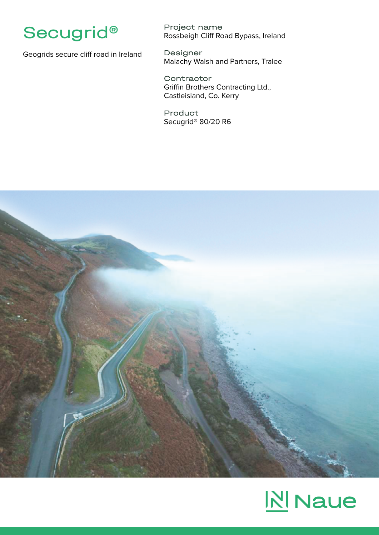

Geogrids secure cliff road in Ireland

Project name Rossbeigh Cliff Road Bypass, Ireland

Designer Malachy Walsh and Partners, Tralee

**Contractor** Griffin Brothers Contracting Ltd., Castleisland, Co. Kerry

Product Secugrid® 80/20 R6



## **N** Naue